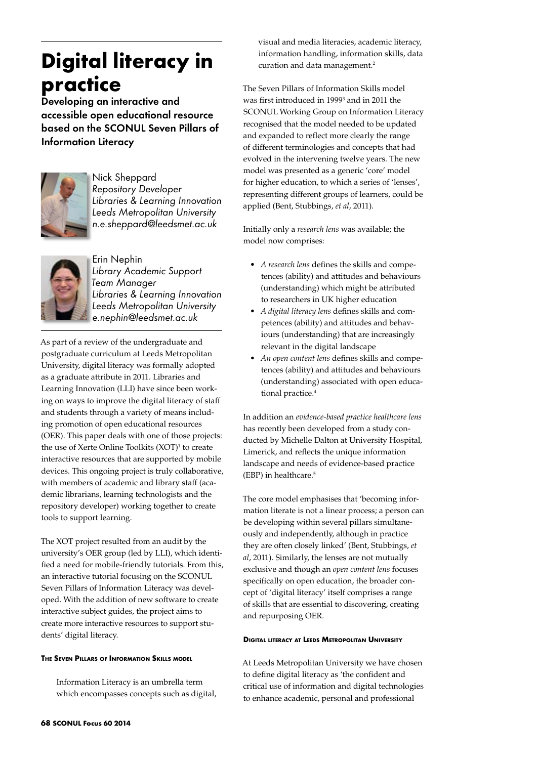# **Digital literacy in practice**

Developing an interactive and accessible open educational resource based on the SCONUL Seven Pillars of Information Literacy



Nick Sheppard *Repository Developer Libraries & Learning Innovation Leeds Metropolitan University n.e.sheppard@leedsmet.ac.uk*



Erin Nephin *Library Academic Support Team Manager Libraries & Learning Innovation Leeds Metropolitan University e.nephin@leedsmet.ac.uk*

As part of a review of the undergraduate and postgraduate curriculum at Leeds Metropolitan University, digital literacy was formally adopted as a graduate attribute in 2011. Libraries and Learning Innovation (LLI) have since been working on ways to improve the digital literacy of staff and students through a variety of means including promotion of open educational resources (OER). This paper deals with one of those projects: the use of Xerte Online Toolkits (XOT)<sup>1</sup> to create interactive resources that are supported by mobile devices. This ongoing project is truly collaborative, with members of academic and library staff (academic librarians, learning technologists and the repository developer) working together to create tools to support learning.

The XOT project resulted from an audit by the university's OER group (led by LLI), which identified a need for mobile-friendly tutorials. From this, an interactive tutorial focusing on the SCONUL Seven Pillars of Information Literacy was developed. With the addition of new software to create interactive subject guides, the project aims to create more interactive resources to support students' digital literacy.

## **The Seven Pillars of Information Skills model**

Information Literacy is an umbrella term which encompasses concepts such as digital, visual and media literacies, academic literacy, information handling, information skills, data curation and data management.<sup>2</sup>

The Seven Pillars of Information Skills model was first introduced in 1999<sup>3</sup> and in 2011 the SCONUL Working Group on Information Literacy recognised that the model needed to be updated and expanded to reflect more clearly the range of different terminologies and concepts that had evolved in the intervening twelve years. The new model was presented as a generic 'core' model for higher education, to which a series of 'lenses', representing different groups of learners, could be applied (Bent, Stubbings, *et al*, 2011).

Initially only a *research lens* was available; the model now comprises:

- • *A research lens* defines the skills and competences (ability) and attitudes and behaviours (understanding) which might be attributed to researchers in UK higher education
- • *A digital literacy lens* defines skills and competences (ability) and attitudes and behaviours (understanding) that are increasingly relevant in the digital landscape
- *An open content lens* defines skills and competences (ability) and attitudes and behaviours (understanding) associated with open educational practice.<sup>4</sup>

In addition an *evidence-based practice healthcare lens* has recently been developed from a study conducted by Michelle Dalton at University Hospital, Limerick, and reflects the unique information landscape and needs of evidence-based practice (EBP) in healthcare.<sup>5</sup>

The core model emphasises that 'becoming information literate is not a linear process; a person can be developing within several pillars simultaneously and independently, although in practice they are often closely linked' (Bent, Stubbings, *et al*, 2011). Similarly, the lenses are not mutually exclusive and though an *open content lens* focuses specifically on open education, the broader concept of 'digital literacy' itself comprises a range of skills that are essential to discovering, creating and repurposing OER.

### **Digital literacy at Leeds Metropolitan University**

At Leeds Metropolitan University we have chosen to define digital literacy as 'the confident and critical use of information and digital technologies to enhance academic, personal and professional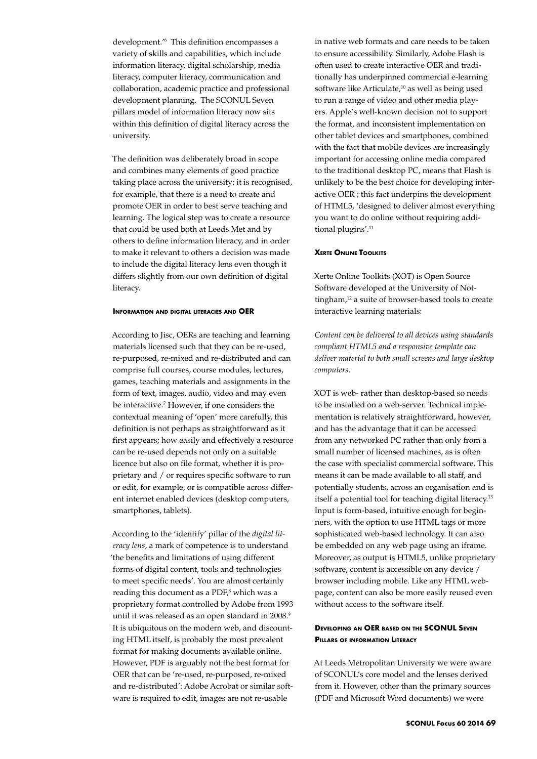development.'6 This definition encompasses a variety of skills and capabilities, which include information literacy, digital scholarship, media literacy, computer literacy, communication and collaboration, academic practice and professional development planning. The SCONUL Seven pillars model of information literacy now sits within this definition of digital literacy across the university.

The definition was deliberately broad in scope and combines many elements of good practice taking place across the university; it is recognised, for example, that there is a need to create and promote OER in order to best serve teaching and learning. The logical step was to create a resource that could be used both at Leeds Met and by others to define information literacy, and in order to make it relevant to others a decision was made to include the digital literacy lens even though it differs slightly from our own definition of digital literacy.

#### **Information and digital literacies and OER**

According to Jisc, OERs are teaching and learning materials licensed such that they can be re-used, re-purposed, re-mixed and re-distributed and can comprise full courses, course modules, lectures, games, teaching materials and assignments in the form of text, images, audio, video and may even be interactive.7 However, if one considers the contextual meaning of 'open' more carefully, this definition is not perhaps as straightforward as it first appears; how easily and effectively a resource can be re-used depends not only on a suitable licence but also on file format, whether it is proprietary and / or requires specific software to run or edit, for example, or is compatible across different internet enabled devices (desktop computers, smartphones, tablets).

According to the 'identify' pillar of the *digital literacy lens*, a mark of competence is to understand 'the benefits and limitations of using different forms of digital content, tools and technologies to meet specific needs'. You are almost certainly reading this document as a PDF,<sup>8</sup> which was a proprietary format controlled by Adobe from 1993 until it was released as an open standard in 2008.<sup>9</sup> It is ubiquitous on the modern web, and discounting HTML itself, is probably the most prevalent format for making documents available online. However, PDF is arguably not the best format for OER that can be 're-used, re-purposed, re-mixed and re-distributed': Adobe Acrobat or similar software is required to edit, images are not re-usable

in native web formats and care needs to be taken to ensure accessibility. Similarly, Adobe Flash is often used to create interactive OER and traditionally has underpinned commercial e-learning software like Articulate,<sup>10</sup> as well as being used to run a range of video and other media players. Apple's well-known decision not to support the format, and inconsistent implementation on other tablet devices and smartphones, combined with the fact that mobile devices are increasingly important for accessing online media compared to the traditional desktop PC, means that Flash is unlikely to be the best choice for developing interactive OER ; this fact underpins the development of HTML5, 'designed to deliver almost everything you want to do online without requiring additional plugins'.<sup>11</sup>

#### **Xerte Online Toolkits**

Xerte Online Toolkits (XOT) is Open Source Software developed at the University of Nottingham,<sup>12</sup> a suite of browser-based tools to create interactive learning materials:

*Content can be delivered to all devices using standards compliant HTML5 and a responsive template can deliver material to both small screens and large desktop computers.*

XOT is web- rather than desktop-based so needs to be installed on a web-server. Technical implementation is relatively straightforward, however, and has the advantage that it can be accessed from any networked PC rather than only from a small number of licensed machines, as is often the case with specialist commercial software. This means it can be made available to all staff, and potentially students, across an organisation and is itself a potential tool for teaching digital literacy.<sup>13</sup> Input is form-based, intuitive enough for beginners, with the option to use HTML tags or more sophisticated web-based technology. It can also be embedded on any web page using an iframe. Moreover, as output is HTML5, unlike proprietary software, content is accessible on any device / browser including mobile. Like any HTML webpage, content can also be more easily reused even without access to the software itself.

## **Developing an OER based on the SCONUL Seven Pillars of information Literacy**

At Leeds Metropolitan University we were aware of SCONUL's core model and the lenses derived from it. However, other than the primary sources (PDF and Microsoft Word documents) we were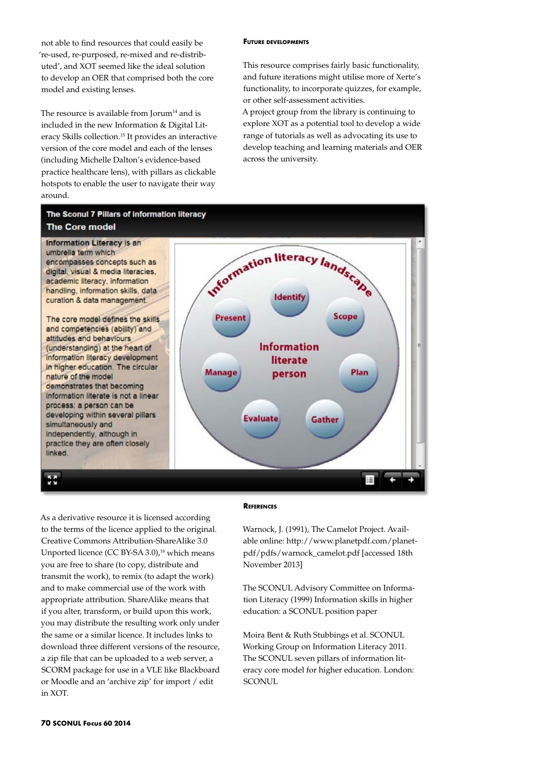not able to find resources that could easily be 're-used, re-purposed, re-mixed and re-distributed', and XOT seemed like the ideal solution to develop an OER that comprised both the core model and existing lenses.

The resource is available from Jorum $14$  and is included in the new Information & Digital Literacy Skills collection.15 It provides an interactive version of the core model and each of the lenses (including Michelle Dalton's evidence-based practice healthcare lens), with pillars as clickable hotspots to enable the user to navigate their way around.

#### **Future developments**

This resource comprises fairly basic functionality, and future iterations might utilise more of Xerte's functionality, to incorporate quizzes, for example, or other self-assessment activities.

A project group from the library is continuing to explore XOT as a potential tool to develop a wide range of tutorials as well as advocating its use to develop teaching and learning materials and OER across the university.



As a derivative resource it is licensed according to the terms of the licence applied to the original. Creative Commons Attribution-ShareAlike 3.0 Unported licence (CC BY-SA 3.0),<sup>16</sup> which means you are free to share (to copy, distribute and transmit the work), to remix (to adapt the work) and to make commercial use of the work with appropriate attribution. ShareAlike means that if you alter, transform, or build upon this work, you may distribute the resulting work only under the same or a similar licence. It includes links to download three different versions of the resource, a zip file that can be uploaded to a web server, a SCORM package for use in a VLE like Blackboard or Moodle and an 'archive zip' for import / edit in XOT.

#### **References**

Warnock, J. (1991), The Camelot Project. Available online: http://www.planetpdf.com/planetpdf/pdfs/warnock\_camelot.pdf [accessed 18th November 2013]

The SCONUL Advisory Committee on Information Literacy (1999) Information skills in higher education: a SCONUL position paper

Moira Bent & Ruth Stubbings et al. SCONUL Working Group on Information Literacy 2011. The SCONUL seven pillars of information literacy core model for higher education. London: SCONUL